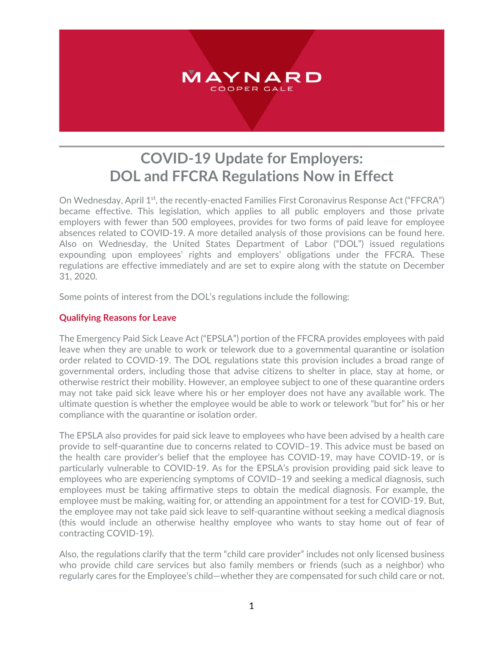

# **COVID-19 Update for Employers: DOL and FFCRA Regulations Now in Effect**

On Wednesday, April 1<sup>st</sup>, the recently-enacted Families First Coronavirus Response Act ("FFCRA") became effective. This legislation, which applies to all public employers and those private employers with fewer than 500 employees, provides for two forms of paid leave for employee absences related to COVID-19. A more detailed analysis of those provisions can be found here. Also on Wednesday, the United States Department of Labor ("DOL") issued regulations expounding upon employees' rights and employers' obligations under the FFCRA. These regulations are effective immediately and are set to expire along with the statute on December 31, 2020.

Some points of interest from the DOL's regulations include the following:

# **Qualifying Reasons for Leave**

The Emergency Paid Sick Leave Act ("EPSLA") portion of the FFCRA provides employees with paid leave when they are unable to work or telework due to a governmental quarantine or isolation order related to COVID-19. The DOL regulations state this provision includes a broad range of governmental orders, including those that advise citizens to shelter in place, stay at home, or otherwise restrict their mobility. However, an employee subject to one of these quarantine orders may not take paid sick leave where his or her employer does not have any available work. The ultimate question is whether the employee would be able to work or telework "but for" his or her compliance with the quarantine or isolation order.

The EPSLA also provides for paid sick leave to employees who have been advised by a health care provide to self-quarantine due to concerns related to COVID–19. This advice must be based on the health care provider's belief that the employee has COVID-19, may have COVID-19, or is particularly vulnerable to COVID-19. As for the EPSLA's provision providing paid sick leave to employees who are experiencing symptoms of COVID–19 and seeking a medical diagnosis, such employees must be taking affirmative steps to obtain the medical diagnosis. For example, the employee must be making, waiting for, or attending an appointment for a test for COVID-19. But, the employee may not take paid sick leave to self-quarantine without seeking a medical diagnosis (this would include an otherwise healthy employee who wants to stay home out of fear of contracting COVID-19).

Also, the regulations clarify that the term "child care provider" includes not only licensed business who provide child care services but also family members or friends (such as a neighbor) who regularly cares for the Employee's child—whether they are compensated for such child care or not.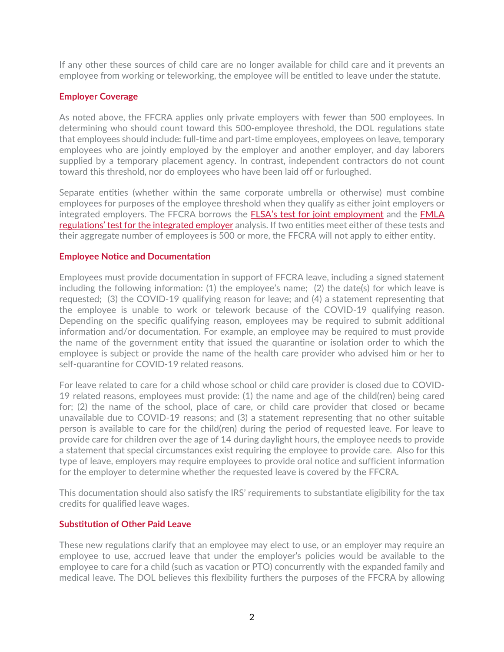If any other these sources of child care are no longer available for child care and it prevents an employee from working or teleworking, the employee will be entitled to leave under the statute.

# **Employer Coverage**

As noted above, the FFCRA applies only private employers with fewer than 500 employees. In determining who should count toward this 500-employee threshold, the DOL regulations state that employees should include: full-time and part-time employees, employees on leave, temporary employees who are jointly employed by the employer and another employer, and day laborers supplied by a temporary placement agency. In contrast, independent contractors do not count toward this threshold, nor do employees who have been laid off or furloughed.

Separate entities (whether within the same corporate umbrella or otherwise) must combine employees for purposes of the employee threshold when they qualify as either joint employers or integrated employers. The FFCRA borrows the [FLSA's test for joint employment](https://www.dol.gov/agencies/whd/flsa/2020-joint-employment/fact-sheet) and the [FMLA](https://www.law.cornell.edu/cfr/text/29/825.104)  [regulations' test for the integrated employer](https://www.law.cornell.edu/cfr/text/29/825.104) analysis. If two entities meet either of these tests and their aggregate number of employees is 500 or more, the FFCRA will not apply to either entity.

## **Employee Notice and Documentation**

Employees must provide documentation in support of FFCRA leave, including a signed statement including the following information: (1) the employee's name; (2) the date(s) for which leave is requested; (3) the COVID-19 qualifying reason for leave; and (4) a statement representing that the employee is unable to work or telework because of the COVID-19 qualifying reason. Depending on the specific qualifying reason, employees may be required to submit additional information and/or documentation. For example, an employee may be required to must provide the name of the government entity that issued the quarantine or isolation order to which the employee is subject or provide the name of the health care provider who advised him or her to self-quarantine for COVID-19 related reasons.

For leave related to care for a child whose school or child care provider is closed due to COVID-19 related reasons, employees must provide: (1) the name and age of the child(ren) being cared for; (2) the name of the school, place of care, or child care provider that closed or became unavailable due to COVID-19 reasons; and (3) a statement representing that no other suitable person is available to care for the child(ren) during the period of requested leave. For leave to provide care for children over the age of 14 during daylight hours, the employee needs to provide a statement that special circumstances exist requiring the employee to provide care. Also for this type of leave, employers may require employees to provide oral notice and sufficient information for the employer to determine whether the requested leave is covered by the FFCRA.

This documentation should also satisfy the IRS' requirements to substantiate eligibility for the tax credits for qualified leave wages.

## **Substitution of Other Paid Leave**

These new regulations clarify that an employee may elect to use, or an employer may require an employee to use, accrued leave that under the employer's policies would be available to the employee to care for a child (such as vacation or PTO) concurrently with the expanded family and medical leave. The DOL believes this flexibility furthers the purposes of the FFCRA by allowing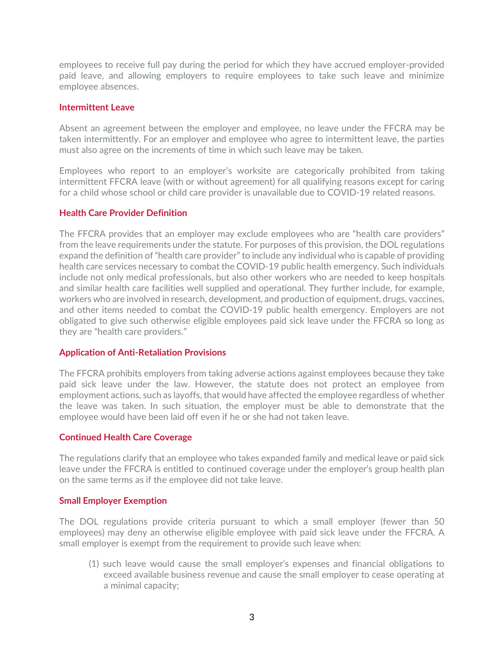employees to receive full pay during the period for which they have accrued employer-provided paid leave, and allowing employers to require employees to take such leave and minimize employee absences.

#### **Intermittent Leave**

Absent an agreement between the employer and employee, no leave under the FFCRA may be taken intermittently. For an employer and employee who agree to intermittent leave, the parties must also agree on the increments of time in which such leave may be taken.

Employees who report to an employer's worksite are categorically prohibited from taking intermittent FFCRA leave (with or without agreement) for all qualifying reasons except for caring for a child whose school or child care provider is unavailable due to COVID-19 related reasons.

## **Health Care Provider Definition**

The FFCRA provides that an employer may exclude employees who are "health care providers" from the leave requirements under the statute. For purposes of this provision, the DOL regulations expand the definition of "health care provider" to include any individual who is capable of providing health care services necessary to combat the COVID-19 public health emergency. Such individuals include not only medical professionals, but also other workers who are needed to keep hospitals and similar health care facilities well supplied and operational. They further include, for example, workers who are involved in research, development, and production of equipment, drugs, vaccines, and other items needed to combat the COVID-19 public health emergency. Employers are not obligated to give such otherwise eligible employees paid sick leave under the FFCRA so long as they are "health care providers."

## **Application of Anti-Retaliation Provisions**

The FFCRA prohibits employers from taking adverse actions against employees because they take paid sick leave under the law. However, the statute does not protect an employee from employment actions, such as layoffs, that would have affected the employee regardless of whether the leave was taken. In such situation, the employer must be able to demonstrate that the employee would have been laid off even if he or she had not taken leave.

#### **Continued Health Care Coverage**

The regulations clarify that an employee who takes expanded family and medical leave or paid sick leave under the FFCRA is entitled to continued coverage under the employer's group health plan on the same terms as if the employee did not take leave.

#### **Small Employer Exemption**

The DOL regulations provide criteria pursuant to which a small employer (fewer than 50 employees) may deny an otherwise eligible employee with paid sick leave under the FFCRA. A small employer is exempt from the requirement to provide such leave when:

(1) such leave would cause the small employer's expenses and financial obligations to exceed available business revenue and cause the small employer to cease operating at a minimal capacity;